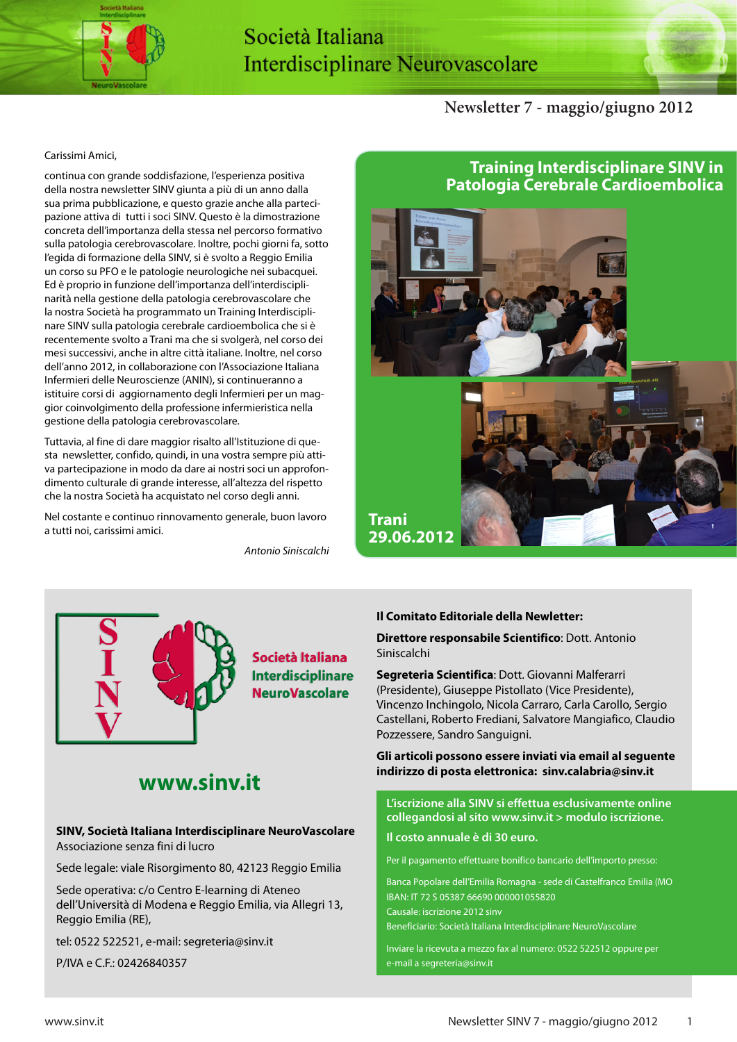

## Società Italiana Interdisciplinare Neurovascolare

## **Newsletter 7 - maggio/giugno 2012**

## Carissimi Amici,

continua con grande soddisfazione, l'esperienza positiva della nostra newsletter SINV giunta a più di un anno dalla sua prima pubblicazione, e questo grazie anche alla partecipazione attiva di tutti i soci SINV. Questo è la dimostrazione concreta dell'importanza della stessa nel percorso formativo sulla patologia cerebrovascolare. Inoltre, pochi giorni fa, sotto l'egida di formazione della SINV, si è svolto a Reggio Emilia un corso su PFO e le patologie neurologiche nei subacquei. Ed è proprio in funzione dell'importanza dell'interdisciplinarità nella gestione della patologia cerebrovascolare che la nostra Società ha programmato un Training Interdisciplinare SINV sulla patologia cerebrale cardioembolica che si è recentemente svolto a Trani ma che si svolgerà, nel corso dei mesi successivi, anche in altre città italiane. Inoltre, nel corso dell'anno 2012, in collaborazione con l'Associazione Italiana Infermieri delle Neuroscienze (ANIN), si continueranno a istituire corsi di aggiornamento degli Infermieri per un maggior coinvolgimento della professione infermieristica nella gestione della patologia cerebrovascolare.

Tuttavia, al fine di dare maggior risalto all'Istituzione di questa newsletter, confido, quindi, in una vostra sempre più attiva partecipazione in modo da dare ai nostri soci un approfondimento culturale di grande interesse, all'altezza del rispetto che la nostra Società ha acquistato nel corso degli anni.

Nel costante e continuo rinnovamento generale, buon lavoro a tutti noi, carissimi amici.

*Antonio Siniscalchi*



Società Italiana **Interdisciplinare NeuroVascolare** 

## **SINV, Società Italiana Interdisciplinare NeuroVascolare**  Associazione senza fini di lucro

Sede legale: viale Risorgimento 80, 42123 Reggio Emilia

Sede operativa: c/o Centro E-learning di Ateneo dell'Università di Modena e Reggio Emilia, via Allegri 13, Reggio Emilia (RE),

tel: 0522 522521, e-mail: segreteria@sinv.it

P/IVA e C.F.: 02426840357

## **Training Interdisciplinare SINV in Patologia Cerebrale Cardioembolica**



## **Il Comitato Editoriale della Newletter:**

**Direttore responsabile Scientifico**: Dott. Antonio Siniscalchi

**Segreteria Scientifica**: Dott. Giovanni Malferarri (Presidente), Giuseppe Pistollato (Vice Presidente), Vincenzo Inchingolo, Nicola Carraro, Carla Carollo, Sergio Castellani, Roberto Frediani, Salvatore Mangiafico, Claudio Pozzessere, Sandro Sanguigni.

## **Gli articoli possono essere inviati via email al seguente indirizzo di posta elettronica: sinv.calabria@sinv.it www.sinv.it**

L'iscrizione alla SINV si effettua esclusivamente<br>collegandosi al sito www.sinv.it > modulo iscriz<br>ll costo annuale è di 30 euro. **L'iscrizione alla SINV si effettua esclusivamente online collegandosi al sito www.sinv.it > modulo iscrizione.**

## **Il costo annuale è di 30 euro.**

Per il pagamento effettuare bonifico bancario dell'importo presso:

Collegandosi al sito www.sinv.it > modulo iscrizion<br>
Il costo annuale è di 30 euro.<br>
Per il pagamento effettuare bonifico bancario dell'importo press<br>
Banca Popolare dell'Emilia Romagna - sede di Castelfranco Emilia<br>
IBAN: Banca Popolare dell'Emilia Romagna - sede di Castelfranco Emilia (MO IBAN: IT 72 S 05387 66690 000001055820

Causale: iscrizione 2012 sinv

Beneficiario: Società Italiana Interdisciplinare NeuroVascolare

Inviare la ricevuta a mezzo fax al numero: 0522 522512 oppure per e-mail a segreteria@sinv.it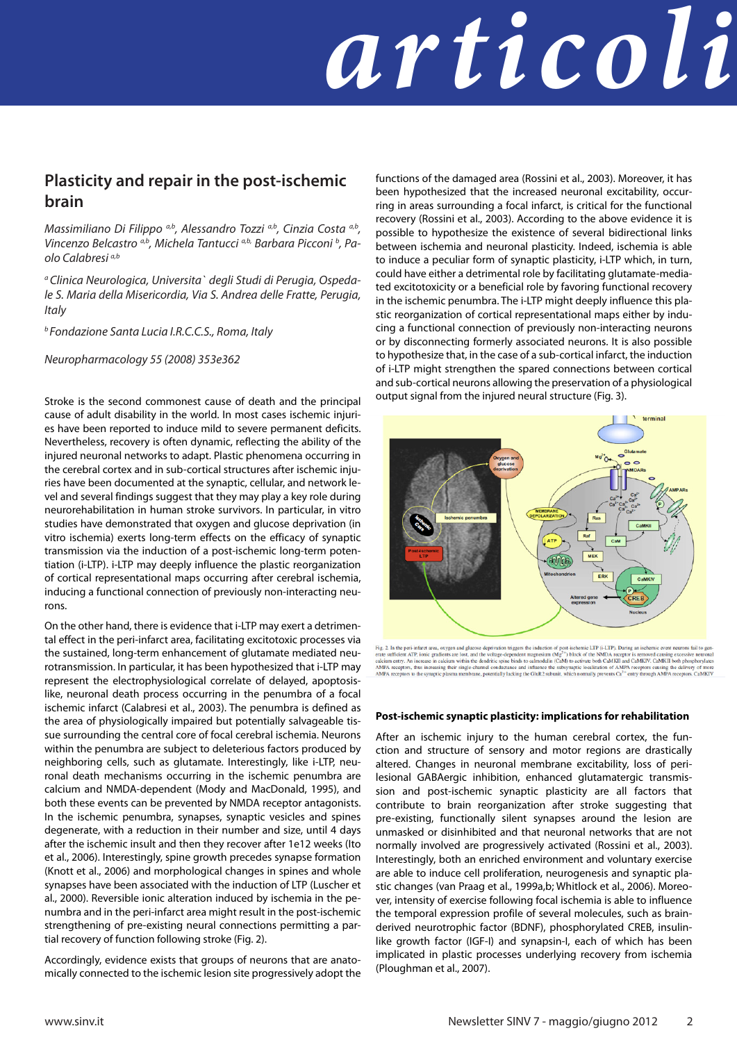## **Plasticity and repair in the post-ischemic brain**

*Massimiliano Di Filippo a,b, Alessandro Tozzi a,b, Cinzia Costa a,b, Vincenzo Belcastro a,b, Michela Tantucci a,b, Barbara Picconi b , Paolo Calabresi a,b*

*a Clinica Neurologica, Universita` degli Studi di Perugia, Ospedale S. Maria della Misericordia, Via S. Andrea delle Fratte, Perugia, Italy*

*b Fondazione Santa Lucia I.R.C.C.S., Roma, Italy*

*Neuropharmacology 55 (2008) 353e362*

Stroke is the second commonest cause of death and the principal cause of adult disability in the world. In most cases ischemic injuries have been reported to induce mild to severe permanent deficits. Nevertheless, recovery is often dynamic, reflecting the ability of the injured neuronal networks to adapt. Plastic phenomena occurring in the cerebral cortex and in sub-cortical structures after ischemic injuries have been documented at the synaptic, cellular, and network level and several findings suggest that they may play a key role during neurorehabilitation in human stroke survivors. In particular, in vitro studies have demonstrated that oxygen and glucose deprivation (in vitro ischemia) exerts long-term effects on the efficacy of synaptic transmission via the induction of a post-ischemic long-term potentiation (i-LTP). i-LTP may deeply influence the plastic reorganization of cortical representational maps occurring after cerebral ischemia, inducing a functional connection of previously non-interacting neurons.

On the other hand, there is evidence that i-LTP may exert a detrimental effect in the peri-infarct area, facilitating excitotoxic processes via the sustained, long-term enhancement of glutamate mediated neurotransmission. In particular, it has been hypothesized that i-LTP may represent the electrophysiological correlate of delayed, apoptosislike, neuronal death process occurring in the penumbra of a focal ischemic infarct (Calabresi et al., 2003). The penumbra is defined as the area of physiologically impaired but potentially salvageable tissue surrounding the central core of focal cerebral ischemia. Neurons within the penumbra are subject to deleterious factors produced by neighboring cells, such as glutamate. Interestingly, like i-LTP, neuronal death mechanisms occurring in the ischemic penumbra are calcium and NMDA-dependent (Mody and MacDonald, 1995), and both these events can be prevented by NMDA receptor antagonists. In the ischemic penumbra, synapses, synaptic vesicles and spines degenerate, with a reduction in their number and size, until 4 days after the ischemic insult and then they recover after 1e12 weeks (Ito et al., 2006). Interestingly, spine growth precedes synapse formation (Knott et al., 2006) and morphological changes in spines and whole synapses have been associated with the induction of LTP (Luscher et al., 2000). Reversible ionic alteration induced by ischemia in the penumbra and in the peri-infarct area might result in the post-ischemic strengthening of pre-existing neural connections permitting a partial recovery of function following stroke (Fig. 2).

Accordingly, evidence exists that groups of neurons that are anatomically connected to the ischemic lesion site progressively adopt the functions of the damaged area (Rossini et al., 2003). Moreover, it has been hypothesized that the increased neuronal excitability, occurring in areas surrounding a focal infarct, is critical for the functional recovery (Rossini et al., 2003). According to the above evidence it is possible to hypothesize the existence of several bidirectional links between ischemia and neuronal plasticity. Indeed, ischemia is able to induce a peculiar form of synaptic plasticity, i-LTP which, in turn, could have either a detrimental role by facilitating glutamate-mediated excitotoxicity or a beneficial role by favoring functional recovery in the ischemic penumbra. The i-LTP might deeply influence this plastic reorganization of cortical representational maps either by inducing a functional connection of previously non-interacting neurons or by disconnecting formerly associated neurons. It is also possible to hypothesize that, in the case of a sub-cortical infarct, the induction of i-LTP might strengthen the spared connections between cortical and sub-cortical neurons allowing the preservation of a physiological output signal from the injured neural structure (Fig. 3).



n the peri-infarct area, oxygen and glucose deprivation triggers the induction of post-ischemic LTP (i-LTP). During an ischemic event neurons fail to generally the method of the SMD of the SMD of the SMD of the SMD of the m entry. An inc

## **Post-ischemic synaptic plasticity: implications for rehabilitation**

After an ischemic injury to the human cerebral cortex, the function and structure of sensory and motor regions are drastically altered. Changes in neuronal membrane excitability, loss of perilesional GABAergic inhibition, enhanced glutamatergic transmission and post-ischemic synaptic plasticity are all factors that contribute to brain reorganization after stroke suggesting that pre-existing, functionally silent synapses around the lesion are unmasked or disinhibited and that neuronal networks that are not normally involved are progressively activated (Rossini et al., 2003). Interestingly, both an enriched environment and voluntary exercise are able to induce cell proliferation, neurogenesis and synaptic plastic changes (van Praag et al., 1999a,b; Whitlock et al., 2006). Moreover, intensity of exercise following focal ischemia is able to influence the temporal expression profile of several molecules, such as brainderived neurotrophic factor (BDNF), phosphorylated CREB, insulinlike growth factor (IGF-I) and synapsin-I, each of which has been implicated in plastic processes underlying recovery from ischemia (Ploughman et al., 2007).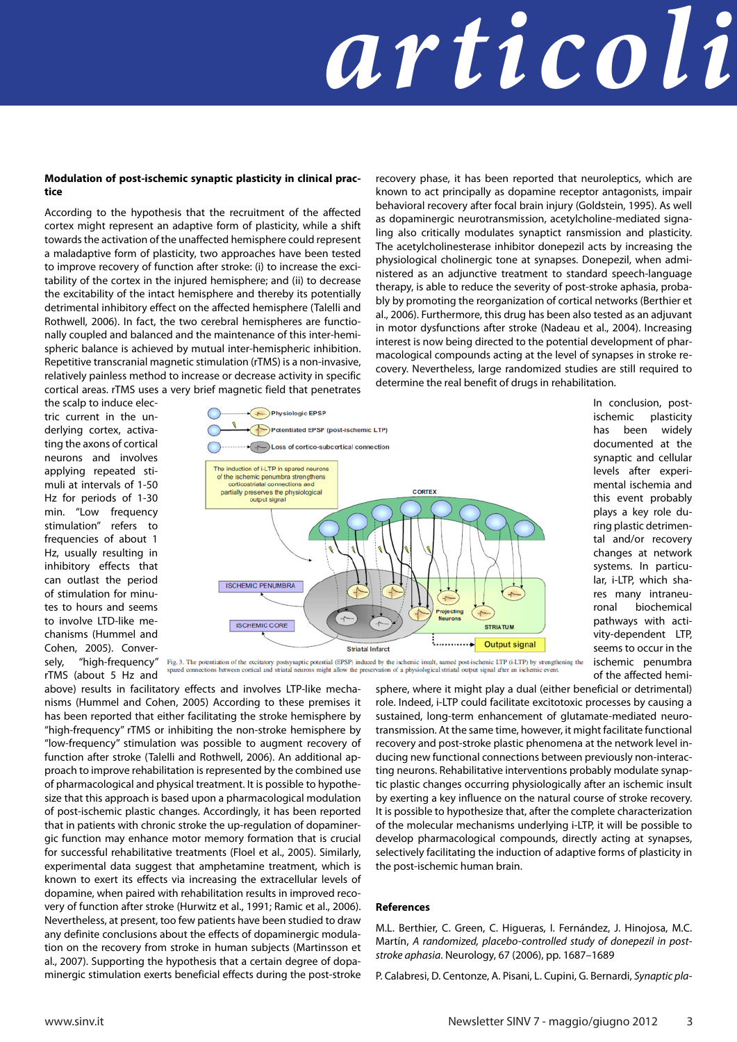## **Modulation of post-ischemic synaptic plasticity in clinical practice**

According to the hypothesis that the recruitment of the affected cortex might represent an adaptive form of plasticity, while a shift towards the activation of the unaffected hemisphere could represent a maladaptive form of plasticity, two approaches have been tested to improve recovery of function after stroke: (i) to increase the excitability of the cortex in the injured hemisphere; and (ii) to decrease the excitability of the intact hemisphere and thereby its potentially detrimental inhibitory effect on the affected hemisphere (Talelli and Rothwell, 2006). In fact, the two cerebral hemispheres are functionally coupled and balanced and the maintenance of this inter-hemispheric balance is achieved by mutual inter-hemispheric inhibition. Repetitive transcranial magnetic stimulation (rTMS) is a non-invasive, relatively painless method to increase or decrease activity in specific cortical areas. rTMS uses a very brief magnetic field that penetrates

recovery phase, it has been reported that neuroleptics, which are known to act principally as dopamine receptor antagonists, impair behavioral recovery after focal brain injury (Goldstein, 1995). As well as dopaminergic neurotransmission, acetylcholine-mediated signaling also critically modulates synaptict ransmission and plasticity. The acetylcholinesterase inhibitor donepezil acts by increasing the physiological cholinergic tone at synapses. Donepezil, when administered as an adjunctive treatment to standard speech-language therapy, is able to reduce the severity of post-stroke aphasia, probably by promoting the reorganization of cortical networks (Berthier et al., 2006). Furthermore, this drug has been also tested as an adjuvant in motor dysfunctions after stroke (Nadeau et al., 2004). Increasing interest is now being directed to the potential development of pharmacological compounds acting at the level of synapses in stroke recovery. Nevertheless, large randomized studies are still required to determine the real benefit of drugs in rehabilitation.

the scalp to induce electric current in the underlying cortex, activating the axons of cortical neurons and involves applying repeated stimuli at intervals of 1-50 Hz for periods of 1-30 min. "Low frequency stimulation'' refers to frequencies of about 1 Hz, usually resulting in inhibitory effects that can outlast the period of stimulation for minutes to hours and seems to involve LTD-like mechanisms (Hummel and Cohen, 2005). Conversely, ''high-frequency'' rTMS (about 5 Hz and



In conclusion, postischemic plasticity has been widely documented at the synaptic and cellular levels after experimental ischemia and this event probably plays a key role during plastic detrimental and/or recovery changes at network systems. In particular, i-LTP, which shares many intraneuronal biochemical pathways with activity-dependent LTP, seems to occur in the ischemic penumbra of the affected hemi-

Fig. 3. The potentiation of the excitatory postsynaptic potential (EPSP) induced by the ischemic insult, named post-ischemic LTP (i-LTP) by strengthening the spared connections between cortical and striatal neurons might a

above) results in facilitatory effects and involves LTP-like mechanisms (Hummel and Cohen, 2005) According to these premises it has been reported that either facilitating the stroke hemisphere by ''high-frequency'' rTMS or inhibiting the non-stroke hemisphere by ''low-frequency'' stimulation was possible to augment recovery of function after stroke (Talelli and Rothwell, 2006). An additional approach to improve rehabilitation is represented by the combined use of pharmacological and physical treatment. It is possible to hypothesize that this approach is based upon a pharmacological modulation of post-ischemic plastic changes. Accordingly, it has been reported that in patients with chronic stroke the up-regulation of dopaminergic function may enhance motor memory formation that is crucial for successful rehabilitative treatments (Floel et al., 2005). Similarly, experimental data suggest that amphetamine treatment, which is known to exert its effects via increasing the extracellular levels of dopamine, when paired with rehabilitation results in improved recovery of function after stroke (Hurwitz et al., 1991; Ramic et al., 2006). Nevertheless, at present, too few patients have been studied to draw any definite conclusions about the effects of dopaminergic modulation on the recovery from stroke in human subjects (Martinsson et al., 2007). Supporting the hypothesis that a certain degree of dopaminergic stimulation exerts beneficial effects during the post-stroke

sphere, where it might play a dual (either beneficial or detrimental) role. Indeed, i-LTP could facilitate excitotoxic processes by causing a sustained, long-term enhancement of glutamate-mediated neurotransmission. At the same time, however, it might facilitate functional recovery and post-stroke plastic phenomena at the network level inducing new functional connections between previously non-interacting neurons. Rehabilitative interventions probably modulate synaptic plastic changes occurring physiologically after an ischemic insult by exerting a key influence on the natural course of stroke recovery. It is possible to hypothesize that, after the complete characterization of the molecular mechanisms underlying i-LTP, it will be possible to develop pharmacological compounds, directly acting at synapses, selectively facilitating the induction of adaptive forms of plasticity in the post-ischemic human brain.

## **References**

M.L. Berthier, C. Green, C. Higueras, I. Fernández, J. Hinojosa, M.C. Martín, *A randomized, placebo-controlled study of donepezil in poststroke aphasia*. Neurology, 67 (2006), pp. 1687–1689

P. Calabresi, D. Centonze, A. Pisani, L. Cupini, G. Bernardi, *Synaptic pla-*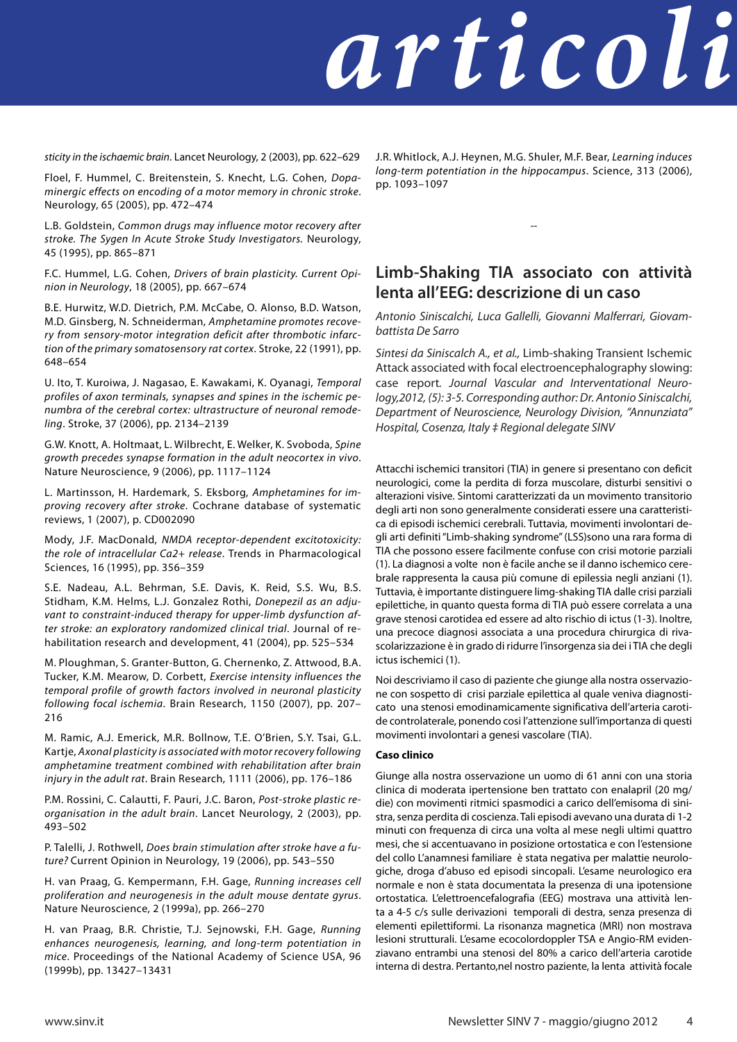*sticity in the ischaemic brain*. Lancet Neurology, 2 (2003), pp. 622–629

Floel, F. Hummel, C. Breitenstein, S. Knecht, L.G. Cohen, *Dopaminergic effects on encoding of a motor memory in chronic stroke*. Neurology, 65 (2005), pp. 472–474

L.B. Goldstein, *Common drugs may influence motor recovery after stroke. The Sygen In Acute Stroke Study Investigators.* Neurology, 45 (1995), pp. 865–871

F.C. Hummel, L.G. Cohen, *Drivers of brain plasticity. Current Opinion in Neurology*, 18 (2005), pp. 667–674

B.E. Hurwitz, W.D. Dietrich, P.M. McCabe, O. Alonso, B.D. Watson, M.D. Ginsberg, N. Schneiderman, *Amphetamine promotes recovery from sensory-motor integration deficit after thrombotic infarction of the primary somatosensory rat cortex*. Stroke, 22 (1991), pp. 648–654

U. Ito, T. Kuroiwa, J. Nagasao, E. Kawakami, K. Oyanagi, *Temporal profiles of axon terminals, synapses and spines in the ischemic penumbra of the cerebral cortex: ultrastructure of neuronal remodeling*. Stroke, 37 (2006), pp. 2134–2139

G.W. Knott, A. Holtmaat, L. Wilbrecht, E. Welker, K. Svoboda, *Spine growth precedes synapse formation in the adult neocortex in vivo*. Nature Neuroscience, 9 (2006), pp. 1117–1124

L. Martinsson, H. Hardemark, S. Eksborg, *Amphetamines for improving recovery after stroke*. Cochrane database of systematic reviews, 1 (2007), p. CD002090

Mody, J.F. MacDonald, *NMDA receptor-dependent excitotoxicity: the role of intracellular Ca2+ release*. Trends in Pharmacological Sciences, 16 (1995), pp. 356–359

S.E. Nadeau, A.L. Behrman, S.E. Davis, K. Reid, S.S. Wu, B.S. Stidham, K.M. Helms, L.J. Gonzalez Rothi, *Donepezil as an adjuvant to constraint-induced therapy for upper-limb dysfunction after stroke: an exploratory randomized clinical trial*. Journal of rehabilitation research and development, 41 (2004), pp. 525–534

M. Ploughman, S. Granter-Button, G. Chernenko, Z. Attwood, B.A. Tucker, K.M. Mearow, D. Corbett, *Exercise intensity influences the temporal profile of growth factors involved in neuronal plasticity following focal ischemia*. Brain Research, 1150 (2007), pp. 207– 216

M. Ramic, A.J. Emerick, M.R. Bollnow, T.E. O'Brien, S.Y. Tsai, G.L. Kartje, *Axonal plasticity is associated with motor recovery following amphetamine treatment combined with rehabilitation after brain injury in the adult rat*. Brain Research, 1111 (2006), pp. 176–186

P.M. Rossini, C. Calautti, F. Pauri, J.C. Baron, *Post-stroke plastic reorganisation in the adult brain*. Lancet Neurology, 2 (2003), pp. 493–502

P. Talelli, J. Rothwell, *Does brain stimulation after stroke have a future?* Current Opinion in Neurology, 19 (2006), pp. 543–550

H. van Praag, G. Kempermann, F.H. Gage, *Running increases cell proliferation and neurogenesis in the adult mouse dentate gyrus*. Nature Neuroscience, 2 (1999a), pp. 266–270

H. van Praag, B.R. Christie, T.J. Sejnowski, F.H. Gage, *Running enhances neurogenesis, learning, and long-term potentiation in mice*. Proceedings of the National Academy of Science USA, 96 (1999b), pp. 13427–13431

J.R. Whitlock, A.J. Heynen, M.G. Shuler, M.F. Bear, *Learning induces long-term potentiation in the hippocampus*. Science, 313 (2006), pp. 1093–1097

## **Limb-Shaking TIA associato con attività lenta all'EEG: descrizione di un caso**

--

*Antonio Siniscalchi, Luca Gallelli, Giovanni Malferrari, Giovambattista De Sarro*

*Sintesi da Siniscalch A., et al.,* Limb-shaking Transient Ischemic Attack associated with focal electroencephalography slowing: case report*. Journal Vascular and Interventational Neurology,2012, (5): 3-5. Corresponding author: Dr. Antonio Siniscalchi, Department of Neuroscience, Neurology Division, "Annunziata" Hospital, Cosenza, Italy ‡ Regional delegate SINV* 

Attacchi ischemici transitori (TIA) in genere si presentano con deficit neurologici, come la perdita di forza muscolare, disturbi sensitivi o alterazioni visive. Sintomi caratterizzati da un movimento transitorio degli arti non sono generalmente considerati essere una caratteristica di episodi ischemici cerebrali. Tuttavia, movimenti involontari degli arti definiti "Limb-shaking syndrome" (LSS)sono una rara forma di TIA che possono essere facilmente confuse con crisi motorie parziali (1). La diagnosi a volte non è facile anche se il danno ischemico cerebrale rappresenta la causa più comune di epilessia negli anziani (1). Tuttavia, è importante distinguere limg-shaking TIA dalle crisi parziali epilettiche, in quanto questa forma di TIA può essere correlata a una grave stenosi carotidea ed essere ad alto rischio di ictus (1-3). Inoltre, una precoce diagnosi associata a una procedura chirurgica di rivascolarizzazione è in grado di ridurre l'insorgenza sia dei i TIA che degli ictus ischemici (1).

Noi descriviamo il caso di paziente che giunge alla nostra osservazione con sospetto di crisi parziale epilettica al quale veniva diagnosticato una stenosi emodinamicamente significativa dell'arteria carotide controlaterale, ponendo cosi l'attenzione sull'importanza di questi movimenti involontari a genesi vascolare (TIA).

## **Caso clinico**

Giunge alla nostra osservazione un uomo di 61 anni con una storia clinica di moderata ipertensione ben trattato con enalapril (20 mg/ die) con movimenti ritmici spasmodici a carico dell'emisoma di sinistra, senza perdita di coscienza. Tali episodi avevano una durata di 1-2 minuti con frequenza di circa una volta al mese negli ultimi quattro mesi, che si accentuavano in posizione ortostatica e con l'estensione del collo L'anamnesi familiare è stata negativa per malattie neurologiche, droga d'abuso ed episodi sincopali. L'esame neurologico era normale e non è stata documentata la presenza di una ipotensione ortostatica. L'elettroencefalografia (EEG) mostrava una attività lenta a 4-5 c/s sulle derivazioni temporali di destra, senza presenza di elementi epilettiformi. La risonanza magnetica (MRI) non mostrava lesioni strutturali. L'esame ecocolordoppler TSA e Angio-RM evidenziavano entrambi una stenosi del 80% a carico dell'arteria carotide interna di destra. Pertanto,nel nostro paziente, la lenta attività focale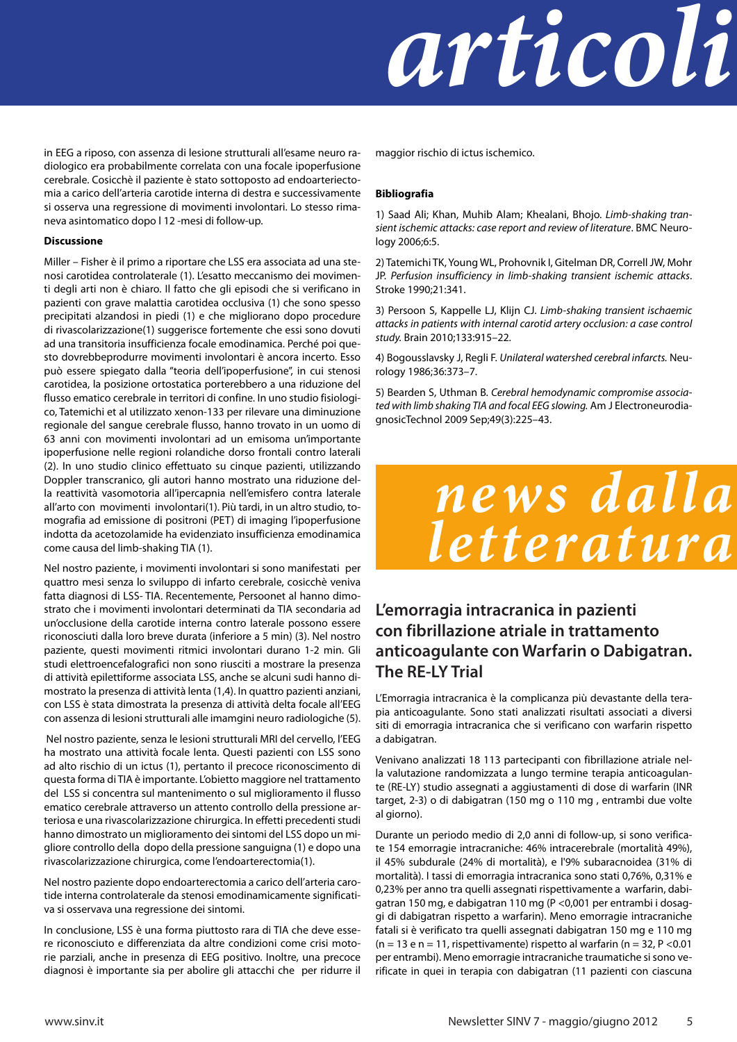in EEG a riposo, con assenza di lesione strutturali all'esame neuro radiologico era probabilmente correlata con una focale ipoperfusione cerebrale. Cosicchè il paziente è stato sottoposto ad endoarteriectomia a carico dell'arteria carotide interna di destra e successivamente si osserva una regressione di movimenti involontari. Lo stesso rimaneva asintomatico dopo l 12 -mesi di follow-up.

## **Discussione**

Miller – Fisher è il primo a riportare che LSS era associata ad una stenosi carotidea controlaterale (1). L'esatto meccanismo dei movimenti degli arti non è chiaro. Il fatto che gli episodi che si verificano in pazienti con grave malattia carotidea occlusiva (1) che sono spesso precipitati alzandosi in piedi (1) e che migliorano dopo procedure di rivascolarizzazione(1) suggerisce fortemente che essi sono dovuti ad una transitoria insufficienza focale emodinamica. Perché poi questo dovrebbeprodurre movimenti involontari è ancora incerto. Esso può essere spiegato dalla "teoria dell'ipoperfusione", in cui stenosi carotidea, la posizione ortostatica porterebbero a una riduzione del flusso ematico cerebrale in territori di confine. In uno studio fisiologico, Tatemichi et al utilizzato xenon-133 per rilevare una diminuzione regionale del sangue cerebrale flusso, hanno trovato in un uomo di 63 anni con movimenti involontari ad un emisoma un'importante ipoperfusione nelle regioni rolandiche dorso frontali contro laterali (2). In uno studio clinico effettuato su cinque pazienti, utilizzando Doppler transcranico, gli autori hanno mostrato una riduzione della reattività vasomotoria all'ipercapnia nell'emisfero contra laterale all'arto con movimenti involontari(1). Più tardi, in un altro studio, tomografia ad emissione di positroni (PET) di imaging l'ipoperfusione indotta da acetozolamide ha evidenziato insufficienza emodinamica come causa del limb-shaking TIA (1).

Nel nostro paziente, i movimenti involontari si sono manifestati per quattro mesi senza lo sviluppo di infarto cerebrale, cosicchè veniva fatta diagnosi di LSS- TIA. Recentemente, Persoonet al hanno dimostrato che i movimenti involontari determinati da TIA secondaria ad un'occlusione della carotide interna contro laterale possono essere riconosciuti dalla loro breve durata (inferiore a 5 min) (3). Nel nostro paziente, questi movimenti ritmici involontari durano 1-2 min. Gli studi elettroencefalografici non sono riusciti a mostrare la presenza di attività epilettiforme associata LSS, anche se alcuni sudi hanno dimostrato la presenza di attività lenta (1,4). In quattro pazienti anziani, con LSS è stata dimostrata la presenza di attività delta focale all'EEG con assenza di lesioni strutturali alle imamgini neuro radiologiche (5).

 Nel nostro paziente, senza le lesioni strutturali MRI del cervello, l'EEG ha mostrato una attività focale lenta. Questi pazienti con LSS sono ad alto rischio di un ictus (1), pertanto il precoce riconoscimento di questa forma di TIA è importante. L'obietto maggiore nel trattamento del LSS si concentra sul mantenimento o sul miglioramento il flusso ematico cerebrale attraverso un attento controllo della pressione arteriosa e una rivascolarizzazione chirurgica. In effetti precedenti studi hanno dimostrato un miglioramento dei sintomi del LSS dopo un migliore controllo della dopo della pressione sanguigna (1) e dopo una rivascolarizzazione chirurgica, come l'endoarterectomia(1).

Nel nostro paziente dopo endoarterectomia a carico dell'arteria carotide interna controlaterale da stenosi emodinamicamente significativa si osservava una regressione dei sintomi.

In conclusione, LSS è una forma piuttosto rara di TIA che deve essere riconosciuto e differenziata da altre condizioni come crisi motorie parziali, anche in presenza di EEG positivo. Inoltre, una precoce diagnosi è importante sia per abolire gli attacchi che per ridurre il

maggior rischio di ictus ischemico.

## **Bibliografia**

1) Saad Ali; Khan, Muhib Alam; Khealani, Bhojo. *Limb-shaking transient ischemic attacks: case report and review of literature*. BMC Neurology 2006;6:5.

2) Tatemichi TK, Young WL, Prohovnik I, Gitelman DR, Correll JW, Mohr JP. *Perfusion insufficiency in limb-shaking transient ischemic attacks*. Stroke 1990;21:341.

3) Persoon S, Kappelle LJ, Klijn CJ. *Limb-shaking transient ischaemic attacks in patients with internal carotid artery occlusion: a case control study.* Brain 2010;133:915–22.

4) Bogousslavsky J, Regli F. *Unilateral watershed cerebral infarcts.* Neurology 1986;36:373–7.

5) Bearden S, Uthman B. *Cerebral hemodynamic compromise associated with limb shaking TIA and focal EEG slowing.* Am J ElectroneurodiagnosicTechnol 2009 Sep;49(3):225–43.

## *news dalla letteratura*

## **L'emorragia intracranica in pazienti con fibrillazione atriale in trattamento anticoagulante con Warfarin o Dabigatran. The RE-LY Trial**

L'Emorragia intracranica è la complicanza più devastante della terapia anticoagulante. Sono stati analizzati risultati associati a diversi siti di emorragia intracranica che si verificano con warfarin rispetto a dabigatran.

Venivano analizzati 18 113 partecipanti con fibrillazione atriale nella valutazione randomizzata a lungo termine terapia anticoagulante (RE-LY) studio assegnati a aggiustamenti di dose di warfarin (INR target, 2-3) o di dabigatran (150 mg o 110 mg , entrambi due volte al giorno).

Durante un periodo medio di 2,0 anni di follow-up, si sono verificate 154 emorragie intracraniche: 46% intracerebrale (mortalità 49%), il 45% subdurale (24% di mortalità), e l'9% subaracnoidea (31% di mortalità). I tassi di emorragia intracranica sono stati 0,76%, 0,31% e 0,23% per anno tra quelli assegnati rispettivamente a warfarin, dabigatran 150 mg, e dabigatran 110 mg (P <0,001 per entrambi i dosaggi di dabigatran rispetto a warfarin). Meno emorragie intracraniche fatali si è verificato tra quelli assegnati dabigatran 150 mg e 110 mg ( $n = 13$  e n = 11, rispettivamente) rispetto al warfarin ( $n = 32$ ,  $P < 0.01$ per entrambi). Meno emorragie intracraniche traumatiche si sono verificate in quei in terapia con dabigatran (11 pazienti con ciascuna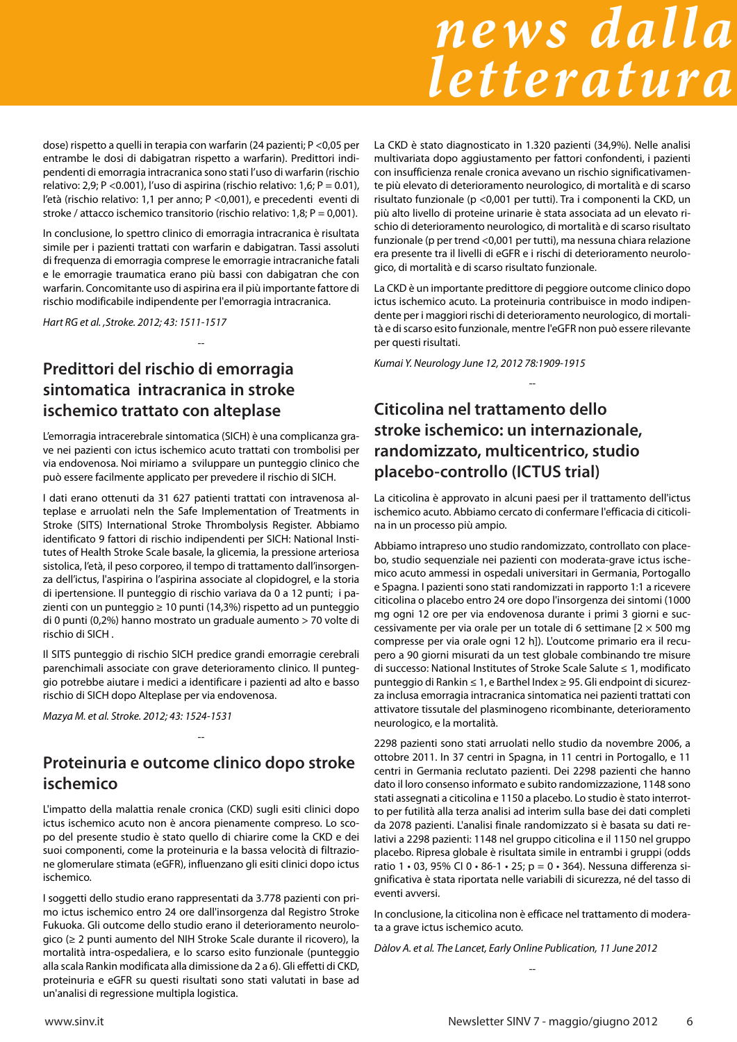## *news dalla letteratura*

dose) rispetto a quelli in terapia con warfarin (24 pazienti; P <0,05 per entrambe le dosi di dabigatran rispetto a warfarin). Predittori indipendenti di emorragia intracranica sono stati l'uso di warfarin (rischio relativo: 2,9; P < 0.001), l'uso di aspirina (rischio relativo: 1,6; P = 0.01), l'età (rischio relativo: 1,1 per anno; P <0,001), e precedenti eventi di stroke / attacco ischemico transitorio (rischio relativo: 1,8; P = 0,001).

In conclusione, lo spettro clinico di emorragia intracranica è risultata simile per i pazienti trattati con warfarin e dabigatran. Tassi assoluti di frequenza di emorragia comprese le emorragie intracraniche fatali e le emorragie traumatica erano più bassi con dabigatran che con warfarin. Concomitante uso di aspirina era il più importante fattore di rischio modificabile indipendente per l'emorragia intracranica.

--

*Hart RG et al. ,Stroke. 2012; 43: 1511-1517*

## **Predittori del rischio di emorragia sintomatica intracranica in stroke ischemico trattato con alteplase**

L'emorragia intracerebrale sintomatica (SICH) è una complicanza grave nei pazienti con ictus ischemico acuto trattati con trombolisi per via endovenosa. Noi miriamo a sviluppare un punteggio clinico che può essere facilmente applicato per prevedere il rischio di SICH.

I dati erano ottenuti da 31 627 patienti trattati con intravenosa alteplase e arruolati neln the Safe Implementation of Treatments in Stroke (SITS) International Stroke Thrombolysis Register. Abbiamo identificato 9 fattori di rischio indipendenti per SICH: National Institutes of Health Stroke Scale basale, la glicemia, la pressione arteriosa sistolica, l'età, il peso corporeo, il tempo di trattamento dall'insorgenza dell'ictus, l'aspirina o l'aspirina associate al clopidogrel, e la storia di ipertensione. Il punteggio di rischio variava da 0 a 12 punti; i pazienti con un punteggio  $\geq 10$  punti (14,3%) rispetto ad un punteggio di 0 punti (0,2%) hanno mostrato un graduale aumento > 70 volte di rischio di SICH .

Il SITS punteggio di rischio SICH predice grandi emorragie cerebrali parenchimali associate con grave deterioramento clinico. Il punteggio potrebbe aiutare i medici a identificare i pazienti ad alto e basso rischio di SICH dopo Alteplase per via endovenosa.

*Mazya M. et al. Stroke. 2012; 43: 1524-1531*

## **Proteinuria e outcome clinico dopo stroke ischemico**

--

L'impatto della malattia renale cronica (CKD) sugli esiti clinici dopo ictus ischemico acuto non è ancora pienamente compreso. Lo scopo del presente studio è stato quello di chiarire come la CKD e dei suoi componenti, come la proteinuria e la bassa velocità di filtrazione glomerulare stimata (eGFR), influenzano gli esiti clinici dopo ictus ischemico.

I soggetti dello studio erano rappresentati da 3.778 pazienti con primo ictus ischemico entro 24 ore dall'insorgenza dal Registro Stroke Fukuoka. Gli outcome dello studio erano il deterioramento neurologico (≥ 2 punti aumento del NIH Stroke Scale durante il ricovero), la mortalità intra-ospedaliera, e lo scarso esito funzionale (punteggio alla scala Rankin modificata alla dimissione da 2 a 6). Gli effetti di CKD, proteinuria e eGFR su questi risultati sono stati valutati in base ad un'analisi di regressione multipla logistica.

La CKD è stato diagnosticato in 1.320 pazienti (34,9%). Nelle analisi multivariata dopo aggiustamento per fattori confondenti, i pazienti con insufficienza renale cronica avevano un rischio significativamente più elevato di deterioramento neurologico, di mortalità e di scarso risultato funzionale (p <0,001 per tutti). Tra i componenti la CKD, un più alto livello di proteine urinarie è stata associata ad un elevato rischio di deterioramento neurologico, di mortalità e di scarso risultato funzionale (p per trend <0,001 per tutti), ma nessuna chiara relazione era presente tra il livelli di eGFR e i rischi di deterioramento neurologico, di mortalità e di scarso risultato funzionale.

La CKD è un importante predittore di peggiore outcome clinico dopo ictus ischemico acuto. La proteinuria contribuisce in modo indipendente per i maggiori rischi di deterioramento neurologico, di mortalità e di scarso esito funzionale, mentre l'eGFR non può essere rilevante per questi risultati.

--

*Kumai Y. Neurology June 12, 2012 78:1909-1915*

## **Citicolina nel trattamento dello stroke ischemico: un internazionale, randomizzato, multicentrico, studio placebo-controllo (ICTUS trial)**

La citicolina è approvato in alcuni paesi per il trattamento dell'ictus ischemico acuto. Abbiamo cercato di confermare l'efficacia di citicolina in un processo più ampio.

Abbiamo intrapreso uno studio randomizzato, controllato con placebo, studio sequenziale nei pazienti con moderata-grave ictus ischemico acuto ammessi in ospedali universitari in Germania, Portogallo e Spagna. I pazienti sono stati randomizzati in rapporto 1:1 a ricevere citicolina o placebo entro 24 ore dopo l'insorgenza dei sintomi (1000 mg ogni 12 ore per via endovenosa durante i primi 3 giorni e successivamente per via orale per un totale di 6 settimane  $[2 \times 500$  mg compresse per via orale ogni 12 h]). L'outcome primario era il recupero a 90 giorni misurati da un test globale combinando tre misure di successo: National Institutes of Stroke Scale Salute ≤ 1, modificato punteggio di Rankin ≤ 1, e Barthel Index ≥ 95. Gli endpoint di sicurezza inclusa emorragia intracranica sintomatica nei pazienti trattati con attivatore tissutale del plasminogeno ricombinante, deterioramento neurologico, e la mortalità.

2298 pazienti sono stati arruolati nello studio da novembre 2006, a ottobre 2011. In 37 centri in Spagna, in 11 centri in Portogallo, e 11 centri in Germania reclutato pazienti. Dei 2298 pazienti che hanno dato il loro consenso informato e subito randomizzazione, 1148 sono stati assegnati a citicolina e 1150 a placebo. Lo studio è stato interrotto per futilità alla terza analisi ad interim sulla base dei dati completi da 2078 pazienti. L'analisi finale randomizzato si è basata su dati relativi a 2298 pazienti: 1148 nel gruppo citicolina e il 1150 nel gruppo placebo. Ripresa globale è risultata simile in entrambi i gruppi (odds ratio 1 • 03, 95% CI 0 • 86-1 • 25; p = 0 • 364). Nessuna differenza significativa è stata riportata nelle variabili di sicurezza, né del tasso di eventi avversi.

In conclusione, la citicolina non è efficace nel trattamento di moderata a grave ictus ischemico acuto.

--

*Dàlov A. et al. The Lancet, Early Online Publication, 11 June 2012*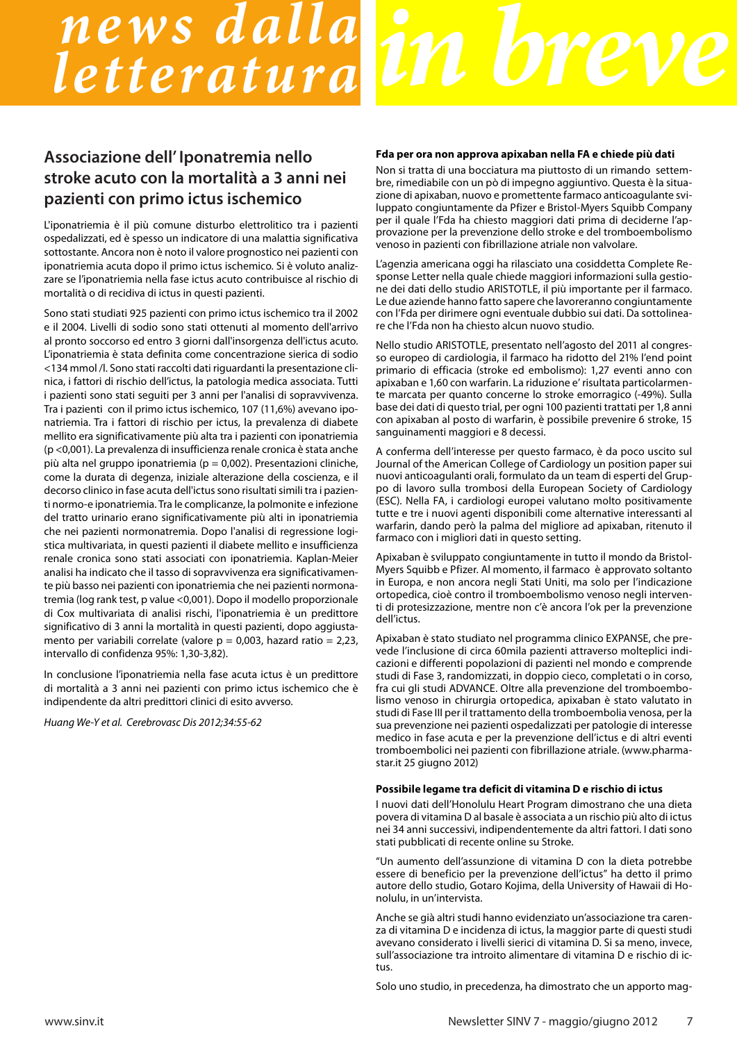

## **Associazione dell' Iponatremia nello stroke acuto con la mortalità a 3 anni nei pazienti con primo ictus ischemico**

L'iponatriemia è il più comune disturbo elettrolitico tra i pazienti ospedalizzati, ed è spesso un indicatore di una malattia significativa sottostante. Ancora non è noto il valore prognostico nei pazienti con iponatriemia acuta dopo il primo ictus ischemico. Si è voluto analizzare se l'iponatriemia nella fase ictus acuto contribuisce al rischio di mortalità o di recidiva di ictus in questi pazienti.

Sono stati studiati 925 pazienti con primo ictus ischemico tra il 2002 e il 2004. Livelli di sodio sono stati ottenuti al momento dell'arrivo al pronto soccorso ed entro 3 giorni dall'insorgenza dell'ictus acuto. L'iponatriemia è stata definita come concentrazione sierica di sodio <134 mmol /l. Sono stati raccolti dati riguardanti la presentazione clinica, i fattori di rischio dell'ictus, la patologia medica associata. Tutti i pazienti sono stati seguiti per 3 anni per l'analisi di sopravvivenza. Tra i pazienti con il primo ictus ischemico, 107 (11,6%) avevano iponatriemia. Tra i fattori di rischio per ictus, la prevalenza di diabete mellito era significativamente più alta tra i pazienti con iponatriemia (p <0,001). La prevalenza di insufficienza renale cronica è stata anche più alta nel gruppo iponatriemia (p = 0,002). Presentazioni cliniche, come la durata di degenza, iniziale alterazione della coscienza, e il decorso clinico in fase acuta dell'ictus sono risultati simili tra i pazienti normo-e iponatriemia. Tra le complicanze, la polmonite e infezione del tratto urinario erano significativamente più alti in iponatriemia che nei pazienti normonatremia. Dopo l'analisi di regressione logistica multivariata, in questi pazienti il diabete mellito e insufficienza renale cronica sono stati associati con iponatriemia. Kaplan-Meier analisi ha indicato che il tasso di sopravvivenza era significativamente più basso nei pazienti con iponatriemia che nei pazienti normonatremia (log rank test, p value <0,001). Dopo il modello proporzionale di Cox multivariata di analisi rischi, l'iponatriemia è un predittore significativo di 3 anni la mortalità in questi pazienti, dopo aggiustamento per variabili correlate (valore  $p = 0.003$ , hazard ratio = 2,23, intervallo di confidenza 95%: 1,30-3,82).

In conclusione l'iponatriemia nella fase acuta ictus è un predittore di mortalità a 3 anni nei pazienti con primo ictus ischemico che è indipendente da altri predittori clinici di esito avverso.

*Huang We-Y et al. Cerebrovasc Dis 2012;34:55-62*

## **Fda per ora non approva apixaban nella FA e chiede più dati**

Non si tratta di una bocciatura ma piuttosto di un rimando settembre, rimediabile con un pò di impegno aggiuntivo. Questa è la situazione di apixaban, nuovo e promettente farmaco anticoagulante sviluppato congiuntamente da Pfizer e Bristol-Myers Squibb Company per il quale l'Fda ha chiesto maggiori dati prima di deciderne l'approvazione per la prevenzione dello stroke e del tromboembolismo venoso in pazienti con fibrillazione atriale non valvolare.

L'agenzia americana oggi ha rilasciato una cosiddetta Complete Response Letter nella quale chiede maggiori informazioni sulla gestione dei dati dello studio ARISTOTLE, il più importante per il farmaco. Le due aziende hanno fatto sapere che lavoreranno congiuntamente con l'Fda per dirimere ogni eventuale dubbio sui dati. Da sottolineare che l'Fda non ha chiesto alcun nuovo studio.

Nello studio ARISTOTLE, presentato nell'agosto del 2011 al congresso europeo di cardiologia, il farmaco ha ridotto del 21% l'end point primario di efficacia (stroke ed embolismo): 1,27 eventi anno con apixaban e 1,60 con warfarin. La riduzione e' risultata particolarmente marcata per quanto concerne lo stroke emorragico (-49%). Sulla base dei dati di questo trial, per ogni 100 pazienti trattati per 1,8 anni con apixaban al posto di warfarin, è possibile prevenire 6 stroke, 15 sanguinamenti maggiori e 8 decessi.

A conferma dell'interesse per questo farmaco, è da poco uscito sul Journal of the American College of Cardiology un position paper sui nuovi anticoagulanti orali, formulato da un team di esperti del Gruppo di lavoro sulla trombosi della European Society of Cardiology (ESC). Nella FA, i cardiologi europei valutano molto positivamente tutte e tre i nuovi agenti disponibili come alternative interessanti al warfarin, dando però la palma del migliore ad apixaban, ritenuto il farmaco con i migliori dati in questo setting.

Apixaban è sviluppato congiuntamente in tutto il mondo da Bristol-Myers Squibb e Pfizer. Al momento, il farmaco è approvato soltanto in Europa, e non ancora negli Stati Uniti, ma solo per l'indicazione ortopedica, cioè contro il tromboembolismo venoso negli interventi di protesizzazione, mentre non c'è ancora l'ok per la prevenzione dell'ictus.

Apixaban è stato studiato nel programma clinico EXPANSE, che prevede l'inclusione di circa 60mila pazienti attraverso molteplici indicazioni e differenti popolazioni di pazienti nel mondo e comprende studi di Fase 3, randomizzati, in doppio cieco, completati o in corso, fra cui gli studi ADVANCE. Oltre alla prevenzione del tromboembolismo venoso in chirurgia ortopedica, apixaban è stato valutato in studi di Fase III per il trattamento della tromboembolia venosa, per la sua prevenzione nei pazienti ospedalizzati per patologie di interesse medico in fase acuta e per la prevenzione dell'ictus e di altri eventi tromboembolici nei pazienti con fibrillazione atriale. (www.pharmastar.it 25 giugno 2012)

## **Possibile legame tra deficit di vitamina D e rischio di ictus**

I nuovi dati dell'Honolulu Heart Program dimostrano che una dieta povera di vitamina D al basale è associata a un rischio più alto di ictus nei 34 anni successivi, indipendentemente da altri fattori. I dati sono stati pubblicati di recente online su Stroke.

"Un aumento dell'assunzione di vitamina D con la dieta potrebbe essere di beneficio per la prevenzione dell'ictus" ha detto il primo autore dello studio, Gotaro Kojima, della University of Hawaii di Honolulu, in un'intervista.

Anche se già altri studi hanno evidenziato un'associazione tra carenza di vitamina D e incidenza di ictus, la maggior parte di questi studi avevano considerato i livelli sierici di vitamina D. Si sa meno, invece, sull'associazione tra introito alimentare di vitamina D e rischio di ictus.

Solo uno studio, in precedenza, ha dimostrato che un apporto mag-